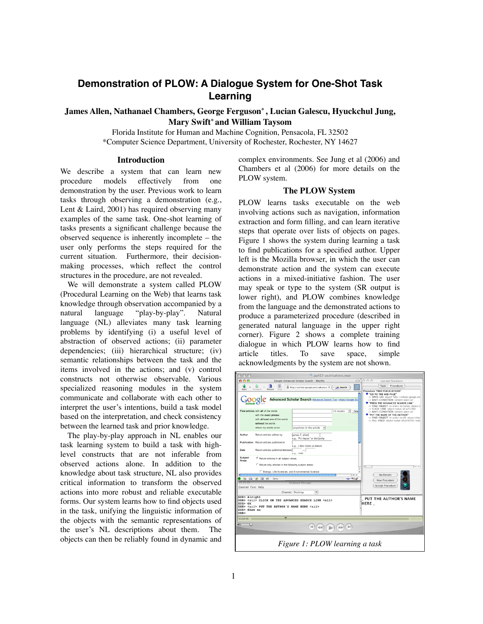# **Demonstration of PLOW: A Dialogue System for One-Shot Task Learning**

**James Allen, Nathanael Chambers, George Ferguson\* , Lucian Galescu, Hyuckchul Jung, Mary Swift\* and William Taysom**

> Florida Institute for Human and Machine Cognition, Pensacola, FL 32502 \*Computer Science Department, University of Rochester, Rochester, NY 14627

## **Introduction**

We describe a system that can learn new procedure models effectively from one demonstration by the user. Previous work to learn tasks through observing a demonstration (e.g., Lent & Laird, 2001) has required observing many examples of the same task. One-shot learning of tasks presents a significant challenge because the observed sequence is inherently incomplete – the user only performs the steps required for the current situation. Furthermore, their decisionmaking processes, which reflect the control structures in the procedure, are not revealed.

We will demonstrate a system called PLOW (Procedural Learning on the Web) that learns task knowledge through observation accompanied by a natural language "play-by-play". Natural language (NL) alleviates many task learning problems by identifying (i) a useful level of abstraction of observed actions; (ii) parameter dependencies; (iii) hierarchical structure; (iv) semantic relationships between the task and the items involved in the actions; and (v) control constructs not otherwise observable. Various specialized reasoning modules in the system communicate and collaborate with each other to interpret the user's intentions, build a task model based on the interpretation, and check consistency between the learned task and prior knowledge.

The play-by-play approach in NL enables our task learning system to build a task with highlevel constructs that are not inferable from observed actions alone. In addition to the knowledge about task structure, NL also provides critical information to transform the observed actions into more robust and reliable executable forms. Our system learns how to find objects used in the task, unifying the linguistic information of the objects with the semantic representations of the user's NL descriptions about them. The objects can then be reliably found in dynamic and

complex environments. See Jung et al (2006) and Chambers et al (2006) for more details on the PLOW system.

## **The PLOW System**

PLOW learns tasks executable on the web involving actions such as navigation, information extraction and form filling, and can learn iterative steps that operate over lists of objects on pages. Figure 1 shows the system during learning a task to find publications for a specified author. Upper left is the Mozilla browser, in which the user can demonstrate action and the system can execute actions in a mixed-initiative fashion. The user may speak or type to the system (SR output is lower right), and PLOW combines knowledge from the language and the demonstrated actions to produce a parameterized procedure (described in generated natural language in the upper right corner). Figure 2 shows a complete training dialogue in which PLOW learns how to find article titles. To save space, simple acknowledgments by the system are not shown.